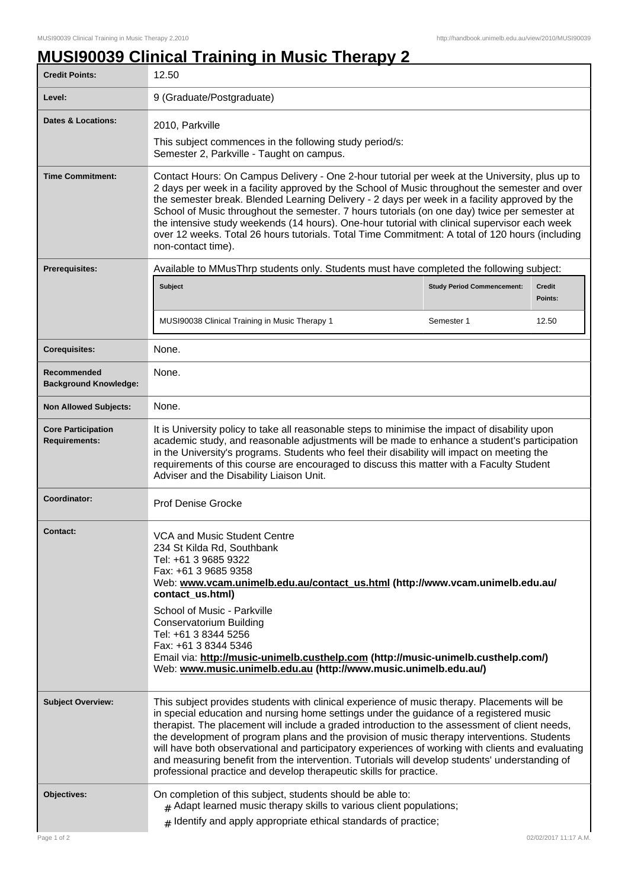## **MUSI90039 Clinical Training in Music Therapy 2**

| <b>Credit Points:</b>                             | 12.50                                                                                                                                                                                                                                                                                                                                                                                                                                                                                                                                                                                                                                                                 |  |                          |
|---------------------------------------------------|-----------------------------------------------------------------------------------------------------------------------------------------------------------------------------------------------------------------------------------------------------------------------------------------------------------------------------------------------------------------------------------------------------------------------------------------------------------------------------------------------------------------------------------------------------------------------------------------------------------------------------------------------------------------------|--|--------------------------|
| Level:                                            | 9 (Graduate/Postgraduate)                                                                                                                                                                                                                                                                                                                                                                                                                                                                                                                                                                                                                                             |  |                          |
| <b>Dates &amp; Locations:</b>                     | 2010, Parkville<br>This subject commences in the following study period/s:<br>Semester 2, Parkville - Taught on campus.                                                                                                                                                                                                                                                                                                                                                                                                                                                                                                                                               |  |                          |
| <b>Time Commitment:</b>                           | Contact Hours: On Campus Delivery - One 2-hour tutorial per week at the University, plus up to<br>2 days per week in a facility approved by the School of Music throughout the semester and over<br>the semester break. Blended Learning Delivery - 2 days per week in a facility approved by the<br>School of Music throughout the semester. 7 hours tutorials (on one day) twice per semester at<br>the intensive study weekends (14 hours). One-hour tutorial with clinical supervisor each week<br>over 12 weeks. Total 26 hours tutorials. Total Time Commitment: A total of 120 hours (including<br>non-contact time).                                          |  |                          |
| Prerequisites:                                    | Available to MMusThrp students only. Students must have completed the following subject:                                                                                                                                                                                                                                                                                                                                                                                                                                                                                                                                                                              |  |                          |
|                                                   | <b>Subject</b><br><b>Study Period Commencement:</b>                                                                                                                                                                                                                                                                                                                                                                                                                                                                                                                                                                                                                   |  | <b>Credit</b><br>Points: |
|                                                   | MUSI90038 Clinical Training in Music Therapy 1<br>Semester 1                                                                                                                                                                                                                                                                                                                                                                                                                                                                                                                                                                                                          |  | 12.50                    |
| <b>Corequisites:</b>                              | None.                                                                                                                                                                                                                                                                                                                                                                                                                                                                                                                                                                                                                                                                 |  |                          |
| Recommended<br><b>Background Knowledge:</b>       | None.                                                                                                                                                                                                                                                                                                                                                                                                                                                                                                                                                                                                                                                                 |  |                          |
| <b>Non Allowed Subjects:</b>                      | None.                                                                                                                                                                                                                                                                                                                                                                                                                                                                                                                                                                                                                                                                 |  |                          |
| <b>Core Participation</b><br><b>Requirements:</b> | It is University policy to take all reasonable steps to minimise the impact of disability upon<br>academic study, and reasonable adjustments will be made to enhance a student's participation<br>in the University's programs. Students who feel their disability will impact on meeting the<br>requirements of this course are encouraged to discuss this matter with a Faculty Student<br>Adviser and the Disability Liaison Unit.                                                                                                                                                                                                                                 |  |                          |
| Coordinator:                                      | <b>Prof Denise Grocke</b>                                                                                                                                                                                                                                                                                                                                                                                                                                                                                                                                                                                                                                             |  |                          |
| <b>Contact:</b>                                   | VCA and Music Student Centre<br>234 St Kilda Rd, Southbank<br>Tel: +61 3 9685 9322<br>Fax: +61 3 9685 9358<br>Web: www.vcam.unimelb.edu.au/contact_us.html (http://www.vcam.unimelb.edu.au/<br>contact_us.html)<br>School of Music - Parkville<br>Conservatorium Building<br>Tel: +61 3 8344 5256<br>Fax: +61 3 8344 5346<br>Email via: http://music-unimelb.custhelp.com (http://music-unimelb.custhelp.com/)<br>Web: www.music.unimelb.edu.au (http://www.music.unimelb.edu.au/)                                                                                                                                                                                    |  |                          |
| <b>Subject Overview:</b>                          | This subject provides students with clinical experience of music therapy. Placements will be<br>in special education and nursing home settings under the guidance of a registered music<br>therapist. The placement will include a graded introduction to the assessment of client needs,<br>the development of program plans and the provision of music therapy interventions. Students<br>will have both observational and participatory experiences of working with clients and evaluating<br>and measuring benefit from the intervention. Tutorials will develop students' understanding of<br>professional practice and develop therapeutic skills for practice. |  |                          |
| Objectives:                                       | On completion of this subject, students should be able to:<br>$#$ Adapt learned music therapy skills to various client populations;<br>$#$ Identify and apply appropriate ethical standards of practice;                                                                                                                                                                                                                                                                                                                                                                                                                                                              |  |                          |
| Page 1 of 2                                       |                                                                                                                                                                                                                                                                                                                                                                                                                                                                                                                                                                                                                                                                       |  | 02/02/2017 11:17 A.M.    |